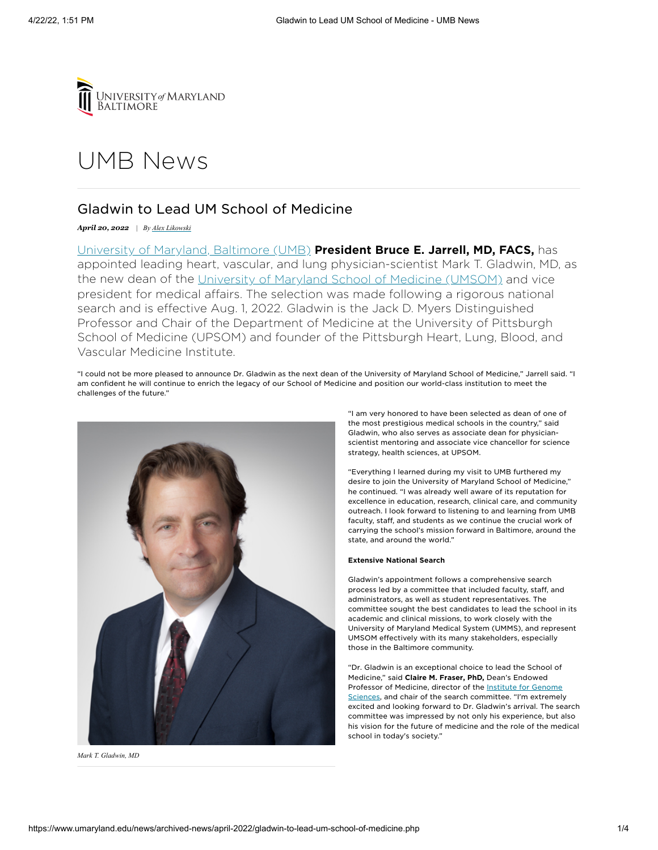

# [UMB](https://www.umaryland.edu/news/) News

# Gladwin to Lead UM School of Medicine

 *April 20, 2022 | By Alex [Likowski](mailto:alikowski@umaryland.edu)*

 University of Maryland, [Baltimo](https://www.umaryland.edu/)re (UMB) President Bruce E. Jarrell, MD, FACS, has appointed leading heart, vascular, and lung physician-scientist Mark T. Gladwin, MD, as the new dean of the University of Maryland School of Medicine [\(UMSOM\)](https://medschool.umaryland.edu/) and vice president for medical affairs. The selection was made following a rigorous national search and is effective Aug. 1, 2022. Gladwin is the Jack D. Myers Distinguished Professor and Chair of the Department of Medicine at the University of Pittsburgh School of Medicine (UPSOM) and founder of the Pittsburgh Heart, Lung, Blood, and Vascular Medicine Institute.

 "I could not be more pleased to announce Dr. Gladwin as the next dean of the University of Maryland School of Medicine," Jarrell said. "I am confident he will continue to enrich the legacy of our School of Medicine and position our world-class institution to meet the challenges of the future."



 *Mark T. Gladwin, MD*

 "I am very honored to have been selected as dean of one of the most prestigious medical schools in the country," said Gladwin, who also serves as associate dean for physician- scientist mentoring and associate vice chancellor for science strategy, health sciences, at UPSOM.

 "Everything I learned during my visit to UMB furthered my desire to join the University of Maryland School of Medicine," he continued. "I was already well aware of its reputation for excellence in education, research, clinical care, and community outreach. I look forward to listening to and learning from UMB faculty, staff, and students as we continue the crucial work of carrying the school's mission forward in Baltimore, around the state, and around the world."

# Extensive National Search

 Gladwin's appointment follows a comprehensive search process led by a committee that included faculty, staff, and administrators, as well as student representatives. The committee sought the best candidates to lead the school in its academic and clinical missions, to work closely with the University of Maryland Medical System (UMMS), and represent UMSOM effectively with its many stakeholders, especially those in the Baltimore community.

 "Dr. Gladwin is an exceptional choice to lead the School of Medicine," said Claire M. Fraser, PhD, Dean's Endowed Professor of Medicine, director of the **Institute for Genome** Sciences, and chair of the search [committee.](https://www.igs.umaryland.edu/) "I'm extremely excited and looking forward to Dr. Gladwin's arrival. The search committee was impressed by not only his experience, but also his vision for the future of medicine and the role of the medical school in today's society."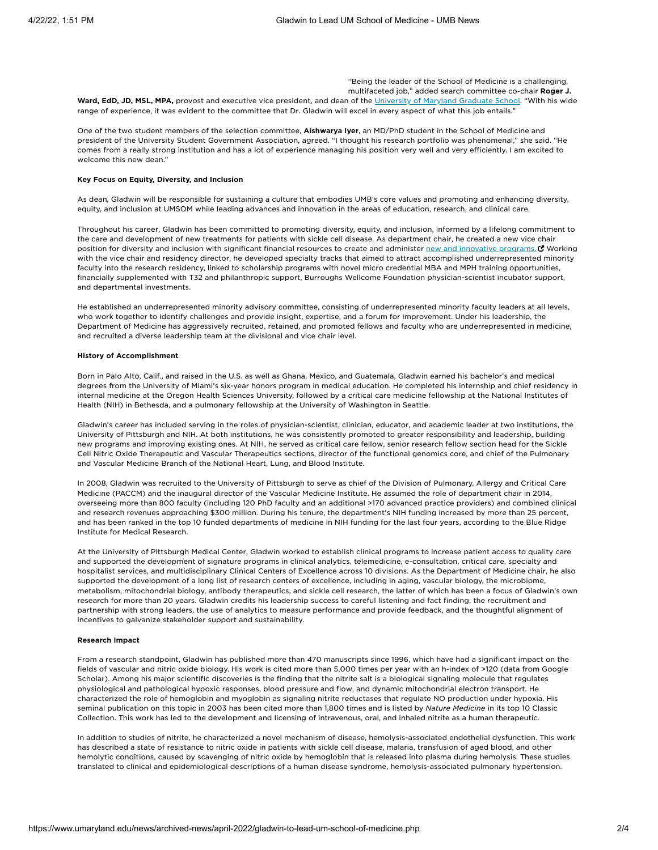"Being the leader of the School of Medicine is a challenging, multifaceted job," added search committee co-chair Roger J.

Ward, EdD, JD, MSL, MPA, provost and executive vice president, and dean of the Univers[ity of Ma](https://www.graduate.umaryland.edu/)ryland Graduate School. "With his wide range of experience, it was evident to the committee that Dr. Gladwin will excel in every aspect of what this job entails."

One of the two student members of the selection committee, **Aishwarya Iyer**, an MD/PhD student in the School of Medicine and president of the University Student Government Association, agreed. "I thought his research portfolio was phenomenal," she said. "He comes from a really strong institution and has a lot of experience managing his position very well and very efficiently. I am excited to welcome this new dean."

#### Key Focus on Equity, Diversity, and Inclusion

 As dean, Gladwin will be responsible for sustaining a culture that embodies UMB's core values and promoting and enhancing diversity, equity, and inclusion at UMSOM while leading advances and innovation in the areas of education, research, and clinical care.

 Throughout his career, Gladwin has been committed to promoting diversity, equity, and inclusion, informed by a lifelong commitment to the care and development of new treatments for patients with sickle cell disease. As department chair, he created a new vice chair position for diversity and inclusion with significant financial resources to create and administer <u>new and [innovative](https://diversity.dom.pitt.edu/) programs.</u> ۞ Working with the vice chair and residency director, he developed specialty tracks that aimed to attract accomplished underrepresented minority faculty into the research residency, linked to scholarship programs with novel micro credential MBA and MPH training opportunities, financially supplemented with T32 and philanthropic support, Burroughs Wellcome Foundation physician-scientist incubator support, and departmental investments.

 He established an underrepresented minority advisory committee, consisting of underrepresented minority faculty leaders at all levels, who work together to identify challenges and provide insight, expertise, and a forum for improvement. Under his leadership, the Department of Medicine has aggressively recruited, retained, and promoted fellows and faculty who are underrepresented in medicine, and recruited a diverse leadership team at the divisional and vice chair level.

#### History of Accomplishment

 Born in Palo Alto, Calif., and raised in the U.S. as well as Ghana, Mexico, and Guatemala, Gladwin earned his bachelor's and medical degrees from the University of Miami's six-year honors program in medical education. He completed his internship and chief residency in internal medicine at the Oregon Health Sciences University, followed by a critical care medicine fellowship at the National Institutes of Health (NIH) in Bethesda, and a pulmonary fellowship at the University of Washington in Seattle.

 Gladwin's career has included serving in the roles of physician-scientist, clinician, educator, and academic leader at two institutions, the University of Pittsburgh and NIH. At both institutions, he was consistently promoted to greater responsibility and leadership, building new programs and improving existing ones. At NIH, he served as critical care fellow, senior research fellow section head for the Sickle Cell Nitric Oxide Therapeutic and Vascular Therapeutics sections, director of the functional genomics core, and chief of the Pulmonary and Vascular Medicine Branch of the National Heart, Lung, and Blood Institute.

 In 2008, Gladwin was recruited to the University of Pittsburgh to serve as chief of the Division of Pulmonary, Allergy and Critical Care Medicine (PACCM) and the inaugural director of the Vascular Medicine Institute. He assumed the role of department chair in 2014, overseeing more than 800 faculty (including 120 PhD faculty and an additional >170 advanced practice providers) and combined clinical and research revenues approaching \$300 million. During his tenure, the department's NIH funding increased by more than 25 percent, and has been ranked in the top 10 funded departments of medicine in NIH funding for the last four years, according to the Blue Ridge Institute for Medical Research.

 At the University of Pittsburgh Medical Center, Gladwin worked to establish clinical programs to increase patient access to quality care and supported the development of signature programs in clinical analytics, telemedicine, e-consultation, critical care, specialty and hospitalist services, and multidisciplinary Clinical Centers of Excellence across 10 divisions. As the Department of Medicine chair, he also supported the development of a long list of research centers of excellence, including in aging, vascular biology, the microbiome, metabolism, mitochondrial biology, antibody therapeutics, and sickle cell research, the latter of which has been a focus of Gladwin's own research for more than 20 years. Gladwin credits his leadership success to careful listening and fact finding, the recruitment and partnership with strong leaders, the use of analytics to measure performance and provide feedback, and the thoughtful alignment of incentives to galvanize stakeholder support and sustainability.

# Research Impact

 From a research standpoint, Gladwin has published more than 470 manuscripts since 1996, which have had a significant impact on the fields of vascular and nitric oxide biology. His work is cited more than 5,000 times per year with an h-index of >120 (data from Google Scholar). Among his major scientific discoveries is the finding that the nitrite salt is a biological signaling molecule that regulates physiological and pathological hypoxic responses, blood pressure and flow, and dynamic mitochondrial electron transport. He characterized the role of hemoglobin and myoglobin as signaling nitrite reductases that regulate NO production under hypoxia. His seminal publication on this topic in 2003 has been cited more than 1,800 times and is listed by *Nature Medicine* in its top 10 Classic Collection. This work has led to the development and licensing of intravenous, oral, and inhaled nitrite as a human therapeutic.

 In addition to studies of nitrite, he characterized a novel mechanism of disease, hemolysis-associated endothelial dysfunction. This work has described a state of resistance to nitric oxide in patients with sickle cell disease, malaria, transfusion of aged blood, and other hemolytic conditions, caused by scavenging of nitric oxide by hemoglobin that is released into plasma during hemolysis. These studies translated to clinical and epidemiological descriptions of a human disease syndrome, hemolysis-associated pulmonary hypertension.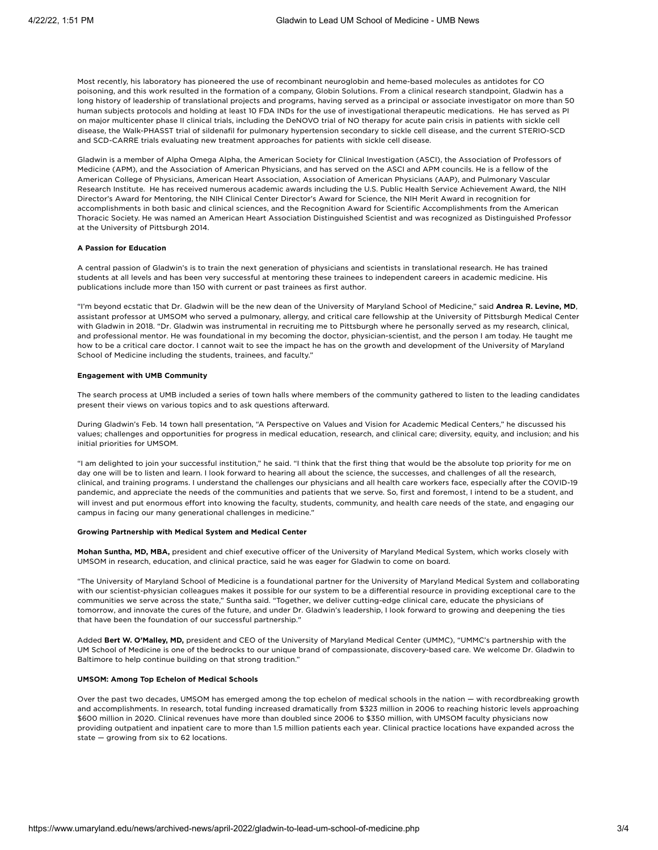Most recently, his laboratory has pioneered the use of recombinant neuroglobin and heme-based molecules as antidotes for CO poisoning, and this work resulted in the formation of a company, Globin Solutions. From a clinical research standpoint, Gladwin has a long history of leadership of translational projects and programs, having served as a principal or associate investigator on more than 50 human subjects protocols and holding at least 10 FDA INDs for the use of investigational therapeutic medications. He has served as PI on major multicenter phase II clinical trials, including the DeNOVO trial of NO therapy for acute pain crisis in patients with sickle cell disease, the Walk-PHASST trial of sildenafil for pulmonary hypertension secondary to sickle cell disease, and the current STERIO-SCD and SCD-CARRE trials evaluating new treatment approaches for patients with sickle cell disease.

 Gladwin is a member of Alpha Omega Alpha, the American Society for Clinical Investigation (ASCI), the Association of Professors of Medicine (APM), and the Association of American Physicians, and has served on the ASCI and APM councils. He is a fellow of the American College of Physicians, American Heart Association, Association of American Physicians (AAP), and Pulmonary Vascular Research Institute. He has received numerous academic awards including the U.S. Public Health Service Achievement Award, the NIH Director's Award for Mentoring, the NIH Clinical Center Director's Award for Science, the NIH Merit Award in recognition for accomplishments in both basic and clinical sciences, and the Recognition Award for Scientific Accomplishments from the American Thoracic Society. He was named an American Heart Association Distinguished Scientist and was recognized as Distinguished Professor at the University of Pittsburgh 2014.

## A Passion for Education

 A central passion of Gladwin's is to train the next generation of physicians and scientists in translational research. He has trained students at all levels and has been very successful at mentoring these trainees to independent careers in academic medicine. His publications include more than 150 with current or past trainees as first author.

"I'm beyond ecstatic that Dr. Gladwin will be the new dean of the University of Maryland School of Medicine," said **Andrea R. Levine, MD**, assistant professor at UMSOM who served a pulmonary, allergy, and critical care fellowship at the University of Pittsburgh Medical Center with Gladwin in 2018. "Dr. Gladwin was instrumental in recruiting me to Pittsburgh where he personally served as my research, clinical, and professional mentor. He was foundational in my becoming the doctor, physician-scientist, and the person I am today. He taught me how to be a critical care doctor. I cannot wait to see the impact he has on the growth and development of the University of Maryland School of Medicine including the students, trainees, and faculty."

## Engagement with UMB Community

 The search process at UMB included a series of town halls where members of the community gathered to listen to the leading candidates present their views on various topics and to ask questions afterward.

 During Gladwin's Feb. 14 town hall presentation, "A Perspective on Values and Vision for Academic Medical Centers," he discussed his values; challenges and opportunities for progress in medical education, research, and clinical care; diversity, equity, and inclusion; and his initial priorities for UMSOM.

 "I am delighted to join your successful institution," he said. "I think that the first thing that would be the absolute top priority for me on day one will be to listen and learn. I look forward to hearing all about the science, the successes, and challenges of all the research, clinical, and training programs. I understand the challenges our physicians and all health care workers face, especially after the COVID-19 pandemic, and appreciate the needs of the communities and patients that we serve. So, first and foremost, I intend to be a student, and will invest and put enormous effort into knowing the faculty, students, community, and health care needs of the state, and engaging our campus in facing our many generational challenges in medicine."

#### Growing Partnership with Medical System and Medical Center

 Mohan Suntha, MD, MBA, president and chief executive officer of the University of Maryland Medical System, which works closely with UMSOM in research, education, and clinical practice, said he was eager for Gladwin to come on board.

 "The University of Maryland School of Medicine is a foundational partner for the University of Maryland Medical System and collaborating with our scientist-physician colleagues makes it possible for our system to be a differential resource in providing exceptional care to the communities we serve across the state," Suntha said. "Together, we deliver cutting-edge clinical care, educate the physicians of tomorrow, and innovate the cures of the future, and under Dr. Gladwin's leadership, I look forward to growing and deepening the ties that have been the foundation of our successful partnership."

Added Bert W. O'Malley, MD, president and CEO of the University of Maryland Medical Center (UMMC), "UMMC's partnership with the UM School of Medicine is one of the bedrocks to our unique brand of compassionate, discovery-based care. We welcome Dr. Gladwin to Baltimore to help continue building on that strong tradition."

#### UMSOM: Among Top Echelon of Medical Schools

 Over the past two decades, UMSOM has emerged among the top echelon of medical schools in the nation — with recordbreaking growth and accomplishments. In research, total funding increased dramatically from \$323 million in 2006 to reaching historic levels approaching \$600 million in 2020. Clinical revenues have more than doubled since 2006 to \$350 million, with UMSOM faculty physicians now providing outpatient and inpatient care to more than 1.5 million patients each year. Clinical practice locations have expanded across the state — growing from six to 62 locations.